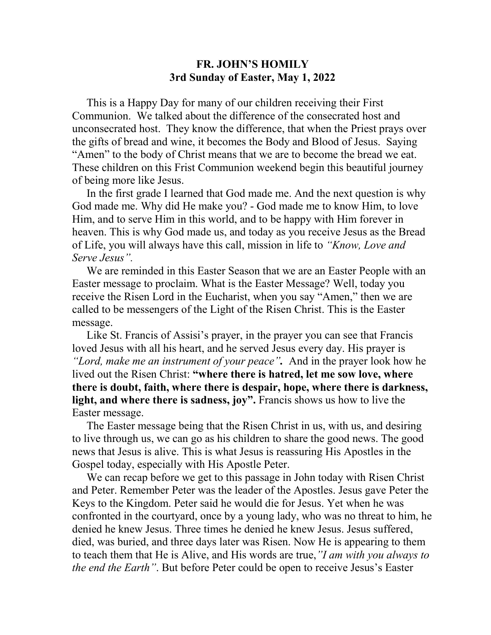## **FR. JOHN'S HOMILY 3rd Sunday of Easter, May 1, 2022**

This is a Happy Day for many of our children receiving their First Communion. We talked about the difference of the consecrated host and unconsecrated host. They know the difference, that when the Priest prays over the gifts of bread and wine, it becomes the Body and Blood of Jesus. Saying "Amen" to the body of Christ means that we are to become the bread we eat. These children on this Frist Communion weekend begin this beautiful journey of being more like Jesus.

In the first grade I learned that God made me. And the next question is why God made me. Why did He make you? - God made me to know Him, to love Him, and to serve Him in this world, and to be happy with Him forever in heaven. This is why God made us, and today as you receive Jesus as the Bread of Life, you will always have this call, mission in life to *"Know, Love and Serve Jesus".* 

We are reminded in this Easter Season that we are an Easter People with an Easter message to proclaim. What is the Easter Message? Well, today you receive the Risen Lord in the Eucharist, when you say "Amen," then we are called to be messengers of the Light of the Risen Christ. This is the Easter message.

Like St. Francis of Assisi's prayer, in the prayer you can see that Francis loved Jesus with all his heart, and he served Jesus every day. His prayer is *"Lord, make me an instrument of your peace".* And in the prayer look how he lived out the Risen Christ: **"where there is hatred, let me sow love, where there is doubt, faith, where there is despair, hope, where there is darkness, light, and where there is sadness, joy".** Francis shows us how to live the Easter message.

The Easter message being that the Risen Christ in us, with us, and desiring to live through us, we can go as his children to share the good news. The good news that Jesus is alive. This is what Jesus is reassuring His Apostles in the Gospel today, especially with His Apostle Peter.

We can recap before we get to this passage in John today with Risen Christ and Peter. Remember Peter was the leader of the Apostles. Jesus gave Peter the Keys to the Kingdom. Peter said he would die for Jesus. Yet when he was confronted in the courtyard, once by a young lady, who was no threat to him, he denied he knew Jesus. Three times he denied he knew Jesus. Jesus suffered, died, was buried, and three days later was Risen. Now He is appearing to them to teach them that He is Alive, and His words are true,*"I am with you always to the end the Earth"*. But before Peter could be open to receive Jesus's Easter